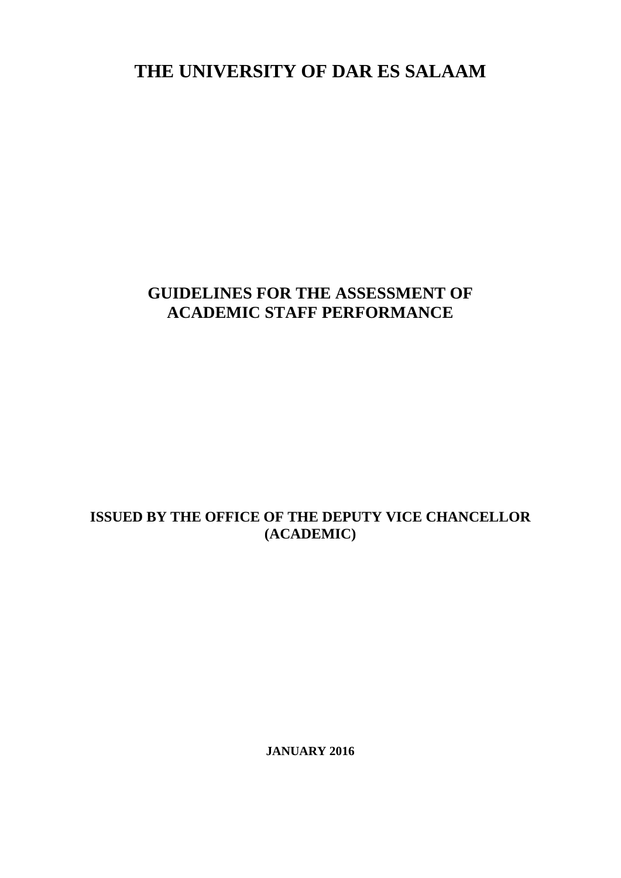**THE UNIVERSITY OF DAR ES SALAAM**

# **GUIDELINES FOR THE ASSESSMENT OF ACADEMIC STAFF PERFORMANCE**

## **ISSUED BY THE OFFICE OF THE DEPUTY VICE CHANCELLOR (ACADEMIC)**

**JANUARY 2016**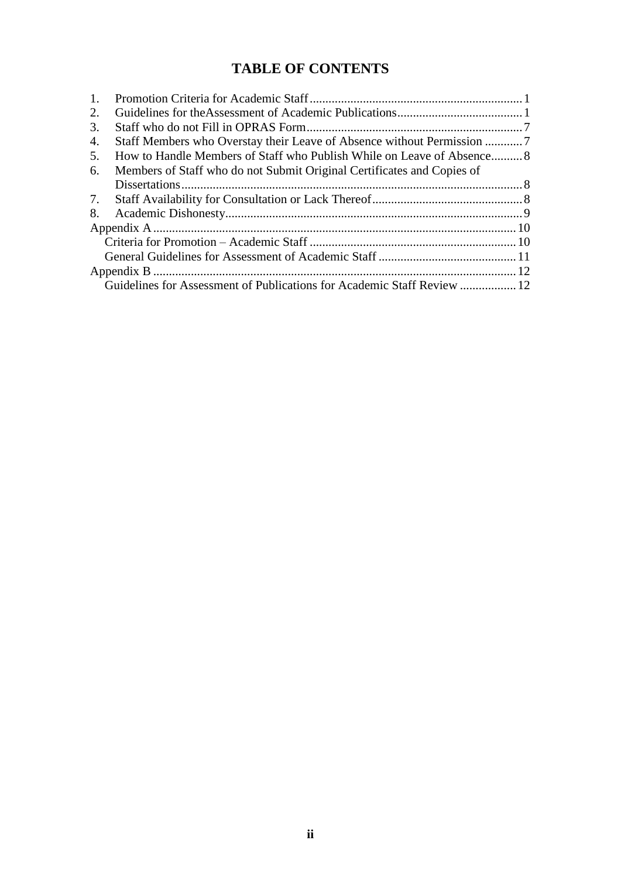# **TABLE OF CONTENTS**

| $\overline{1}$ . |                                                                         |  |  |  |
|------------------|-------------------------------------------------------------------------|--|--|--|
| 2.               |                                                                         |  |  |  |
| 3.               |                                                                         |  |  |  |
| 4.               |                                                                         |  |  |  |
| 5.               | How to Handle Members of Staff who Publish While on Leave of Absence 8  |  |  |  |
| 6.               | Members of Staff who do not Submit Original Certificates and Copies of  |  |  |  |
|                  |                                                                         |  |  |  |
| 7.               |                                                                         |  |  |  |
| 8.               |                                                                         |  |  |  |
|                  |                                                                         |  |  |  |
|                  |                                                                         |  |  |  |
|                  |                                                                         |  |  |  |
|                  |                                                                         |  |  |  |
|                  | Guidelines for Assessment of Publications for Academic Staff Review  12 |  |  |  |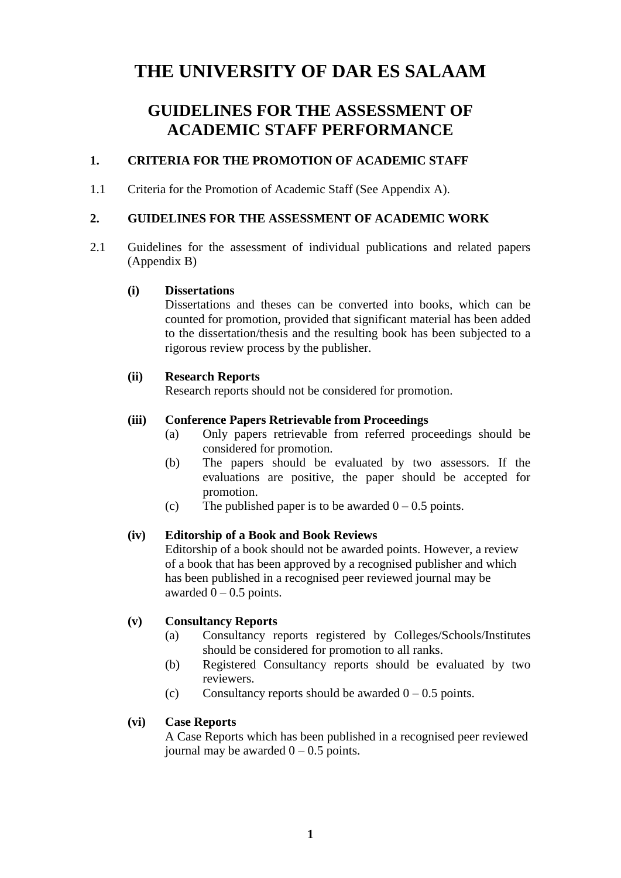# **THE UNIVERSITY OF DAR ES SALAAM**

# **GUIDELINES FOR THE ASSESSMENT OF ACADEMIC STAFF PERFORMANCE**

### <span id="page-2-0"></span>**1. CRITERIA FOR THE PROMOTION OF ACADEMIC STAFF**

1.1 Criteria for the Promotion of Academic Staff (See Appendix A).

### <span id="page-2-1"></span>**2. GUIDELINES FOR THE ASSESSMENT OF ACADEMIC WORK**

2.1 Guidelines for the assessment of individual publications and related papers (Appendix B)

#### **(i) Dissertations**

Dissertations and theses can be converted into books, which can be counted for promotion, provided that significant material has been added to the dissertation/thesis and the resulting book has been subjected to a rigorous review process by the publisher.

#### **(ii) Research Reports**

Research reports should not be considered for promotion.

### **(iii) Conference Papers Retrievable from Proceedings**

- (a) Only papers retrievable from referred proceedings should be considered for promotion.
- (b) The papers should be evaluated by two assessors. If the evaluations are positive, the paper should be accepted for promotion.
- (c) The published paper is to be awarded  $0 0.5$  points.

### **(iv) Editorship of a Book and Book Reviews**

Editorship of a book should not be awarded points. However, a review of a book that has been approved by a recognised publisher and which has been published in a recognised peer reviewed journal may be awarded  $0 - 0.5$  points.

### **(v) Consultancy Reports**

- (a) Consultancy reports registered by Colleges/Schools/Institutes should be considered for promotion to all ranks.
- (b) Registered Consultancy reports should be evaluated by two reviewers.
- (c) Consultancy reports should be awarded  $0 0.5$  points.

### **(vi) Case Reports**

A Case Reports which has been published in a recognised peer reviewed journal may be awarded  $0 - 0.5$  points.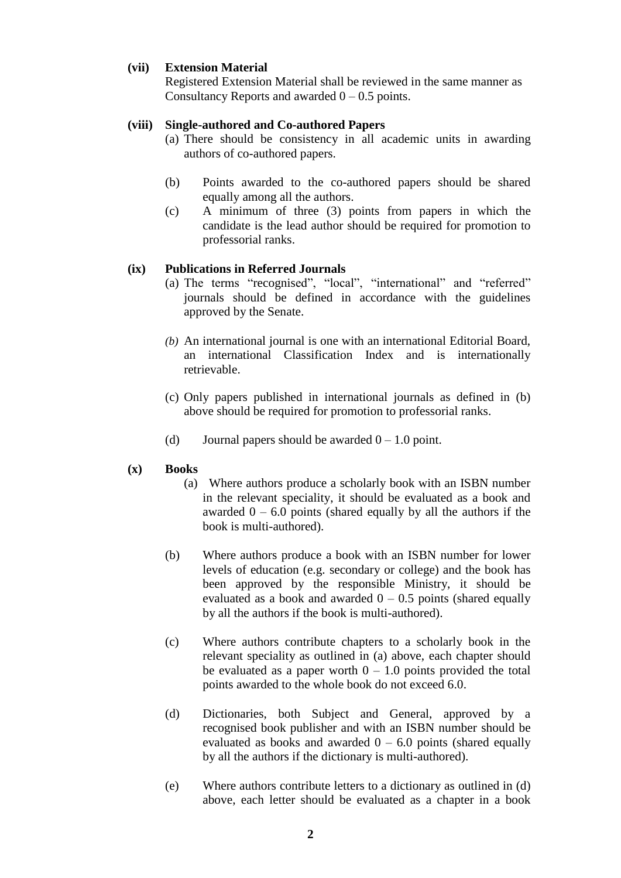### **(vii) Extension Material**

Registered Extension Material shall be reviewed in the same manner as Consultancy Reports and awarded  $0 - 0.5$  points.

### **(viii) Single-authored and Co-authored Papers**

- (a) There should be consistency in all academic units in awarding authors of co-authored papers.
- (b) Points awarded to the co-authored papers should be shared equally among all the authors.
- (c) A minimum of three (3) points from papers in which the candidate is the lead author should be required for promotion to professorial ranks.

### **(ix) Publications in Referred Journals**

- (a) The terms "recognised", "local", "international" and "referred" journals should be defined in accordance with the guidelines approved by the Senate.
- *(b)* An international journal is one with an international Editorial Board, an international Classification Index and is internationally retrievable.
- (c) Only papers published in international journals as defined in (b) above should be required for promotion to professorial ranks.
- (d) Journal papers should be awarded  $0 1.0$  point.

#### **(x) Books**

- (a) Where authors produce a scholarly book with an ISBN number in the relevant speciality, it should be evaluated as a book and awarded  $0 - 6.0$  points (shared equally by all the authors if the book is multi-authored).
- (b) Where authors produce a book with an ISBN number for lower levels of education (e.g. secondary or college) and the book has been approved by the responsible Ministry, it should be evaluated as a book and awarded  $0 - 0.5$  points (shared equally by all the authors if the book is multi-authored).
- (c) Where authors contribute chapters to a scholarly book in the relevant speciality as outlined in (a) above, each chapter should be evaluated as a paper worth  $0 - 1.0$  points provided the total points awarded to the whole book do not exceed 6.0.
- (d) Dictionaries, both Subject and General, approved by a recognised book publisher and with an ISBN number should be evaluated as books and awarded  $0 - 6.0$  points (shared equally by all the authors if the dictionary is multi-authored).
- (e) Where authors contribute letters to a dictionary as outlined in (d) above, each letter should be evaluated as a chapter in a book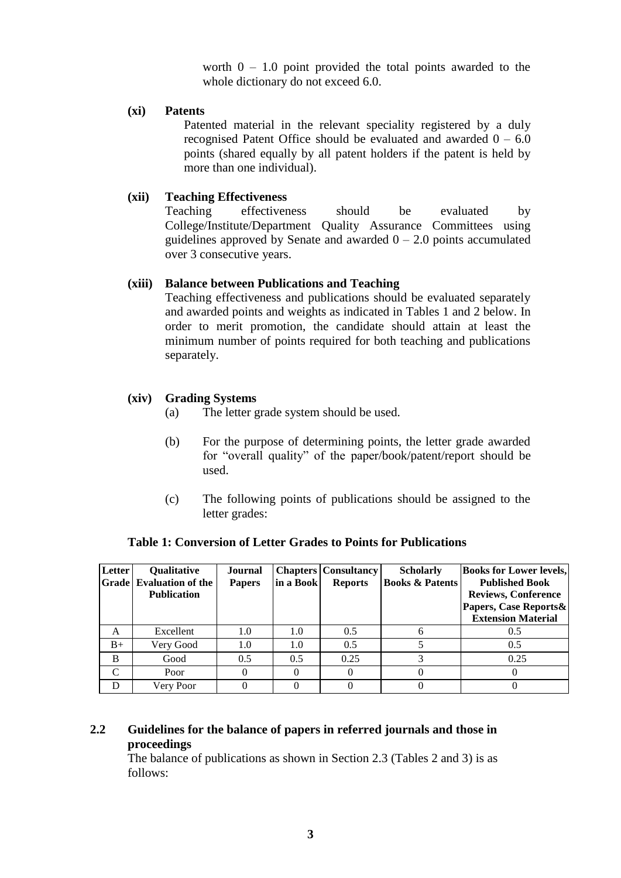worth  $0 - 1.0$  point provided the total points awarded to the whole dictionary do not exceed 6.0.

### **(xi) Patents**

Patented material in the relevant speciality registered by a duly recognised Patent Office should be evaluated and awarded  $0 - 6.0$ points (shared equally by all patent holders if the patent is held by more than one individual).

### **(xii) Teaching Effectiveness**

Teaching effectiveness should be evaluated by College/Institute/Department Quality Assurance Committees using guidelines approved by Senate and awarded  $0 - 2.0$  points accumulated over 3 consecutive years.

### **(xiii) Balance between Publications and Teaching**

Teaching effectiveness and publications should be evaluated separately and awarded points and weights as indicated in Tables 1 and 2 below. In order to merit promotion, the candidate should attain at least the minimum number of points required for both teaching and publications separately.

### **(xiv) Grading Systems**

- (a) The letter grade system should be used.
- (b) For the purpose of determining points, the letter grade awarded for "overall quality" of the paper/book/patent/report should be used.
- (c) The following points of publications should be assigned to the letter grades:

| Letter             | <b>Qualitative</b>             | Journal       |           | <b>Chapters   Consultancy</b> | <b>Scholarly</b>           | <b>Books for Lower levels,</b> |
|--------------------|--------------------------------|---------------|-----------|-------------------------------|----------------------------|--------------------------------|
|                    | <b>Grade</b> Evaluation of the | <b>Papers</b> | in a Book | <b>Reports</b>                | <b>Books &amp; Patents</b> | <b>Published Book</b>          |
|                    | <b>Publication</b>             |               |           |                               |                            | <b>Reviews, Conference</b>     |
|                    |                                |               |           |                               |                            | Papers, Case Reports &         |
|                    |                                |               |           |                               |                            | <b>Extension Material</b>      |
| A                  | Excellent                      | 1.0           | 1.0       | 0.5                           |                            | 0.5                            |
| $B+$               | Very Good                      | 1.0           | 1.0       | 0.5                           |                            | 0.5                            |
| B                  | Good                           | 0.5           | 0.5       | 0.25                          |                            | 0.25                           |
| $\curvearrowright$ | Poor                           |               |           |                               |                            |                                |
| D                  | Very Poor                      |               |           |                               |                            |                                |

### **Table 1: Conversion of Letter Grades to Points for Publications**

### **2.2 Guidelines for the balance of papers in referred journals and those in proceedings**

The balance of publications as shown in Section 2.3 (Tables 2 and 3) is as follows: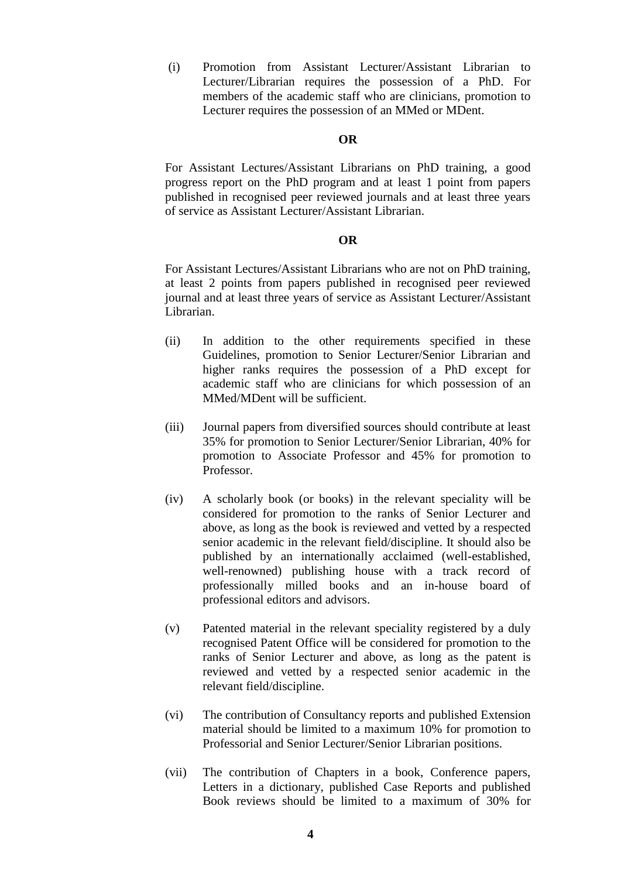(i) Promotion from Assistant Lecturer/Assistant Librarian to Lecturer/Librarian requires the possession of a PhD. For members of the academic staff who are clinicians, promotion to Lecturer requires the possession of an MMed or MDent.

#### **OR**

For Assistant Lectures/Assistant Librarians on PhD training, a good progress report on the PhD program and at least 1 point from papers published in recognised peer reviewed journals and at least three years of service as Assistant Lecturer/Assistant Librarian.

#### **OR**

For Assistant Lectures/Assistant Librarians who are not on PhD training, at least 2 points from papers published in recognised peer reviewed journal and at least three years of service as Assistant Lecturer/Assistant Librarian.

- (ii) In addition to the other requirements specified in these Guidelines, promotion to Senior Lecturer/Senior Librarian and higher ranks requires the possession of a PhD except for academic staff who are clinicians for which possession of an MMed/MDent will be sufficient.
- (iii) Journal papers from diversified sources should contribute at least 35% for promotion to Senior Lecturer/Senior Librarian, 40% for promotion to Associate Professor and 45% for promotion to Professor.
- (iv) A scholarly book (or books) in the relevant speciality will be considered for promotion to the ranks of Senior Lecturer and above, as long as the book is reviewed and vetted by a respected senior academic in the relevant field/discipline. It should also be published by an internationally acclaimed (well-established, well-renowned) publishing house with a track record of professionally milled books and an in-house board of professional editors and advisors.
- (v) Patented material in the relevant speciality registered by a duly recognised Patent Office will be considered for promotion to the ranks of Senior Lecturer and above, as long as the patent is reviewed and vetted by a respected senior academic in the relevant field/discipline.
- (vi) The contribution of Consultancy reports and published Extension material should be limited to a maximum 10% for promotion to Professorial and Senior Lecturer/Senior Librarian positions.
- (vii) The contribution of Chapters in a book, Conference papers, Letters in a dictionary, published Case Reports and published Book reviews should be limited to a maximum of 30% for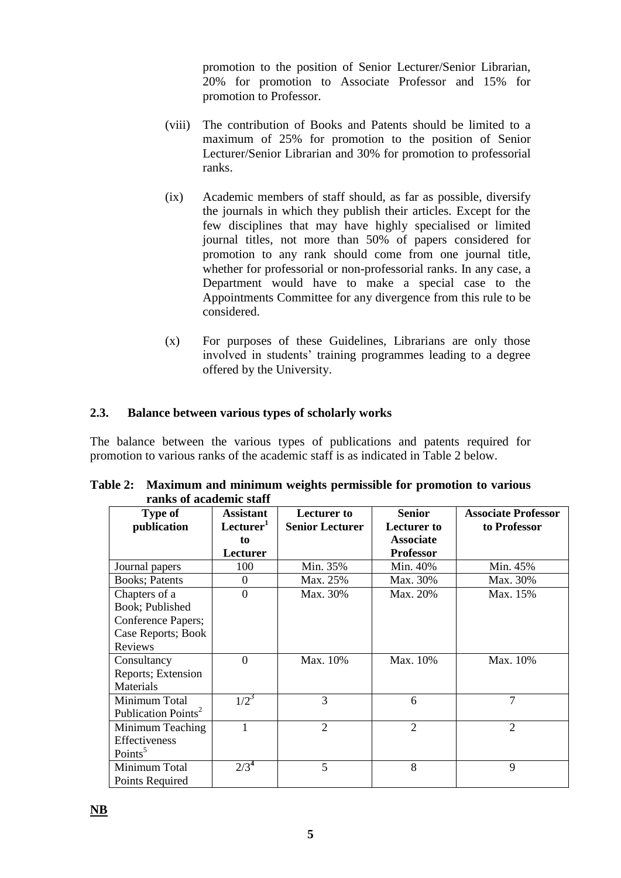promotion to the position of Senior Lecturer/Senior Librarian, 20% for promotion to Associate Professor and 15% for promotion to Professor.

- (viii) The contribution of Books and Patents should be limited to a maximum of 25% for promotion to the position of Senior Lecturer/Senior Librarian and 30% for promotion to professorial ranks.
- (ix) Academic members of staff should, as far as possible, diversify the journals in which they publish their articles. Except for the few disciplines that may have highly specialised or limited journal titles, not more than 50% of papers considered for promotion to any rank should come from one journal title, whether for professorial or non-professorial ranks. In any case, a Department would have to make a special case to the Appointments Committee for any divergence from this rule to be considered.
- (x) For purposes of these Guidelines, Librarians are only those involved in students' training programmes leading to a degree offered by the University.

### **2.3. Balance between various types of scholarly works**

The balance between the various types of publications and patents required for promotion to various ranks of the academic staff is as indicated in Table 2 below.

| Tanis vi acauchne stan          |                       |                             |                             |                             |
|---------------------------------|-----------------------|-----------------------------|-----------------------------|-----------------------------|
| <b>Type of</b>                  | <b>Assistant</b>      | <b>Lecturer</b> to          | <b>Senior</b>               | <b>Associate Professor</b>  |
| publication                     | Lecturer <sup>1</sup> | <b>Senior Lecturer</b>      | <b>Lecturer</b> to          | to Professor                |
|                                 | to                    |                             | <b>Associate</b>            |                             |
|                                 | Lecturer              |                             | <b>Professor</b>            |                             |
| Journal papers                  | 100                   | Min. 35%                    | Min. 40%                    | Min. 45%                    |
| <b>Books</b> ; Patents          | $\theta$              | Max. 25%                    | Max. 30%                    | Max. 30%                    |
| Chapters of a                   | $\overline{0}$        | Max. 30%                    | Max. 20%                    | Max. 15%                    |
| Book; Published                 |                       |                             |                             |                             |
| Conference Papers;              |                       |                             |                             |                             |
| Case Reports; Book              |                       |                             |                             |                             |
| Reviews                         |                       |                             |                             |                             |
| Consultancy                     | $\Omega$              | Max. 10%                    | Max. 10%                    | Max. 10%                    |
| Reports; Extension              |                       |                             |                             |                             |
| Materials                       |                       |                             |                             |                             |
| Minimum Total                   | $1/2^3$               | 3                           | 6                           | $\tau$                      |
| Publication Points <sup>2</sup> |                       |                             |                             |                             |
| Minimum Teaching                | 1                     | $\mathcal{D}_{\mathcal{A}}$ | $\mathcal{D}_{\mathcal{L}}$ | $\mathcal{D}_{\mathcal{L}}$ |
| Effectiveness                   |                       |                             |                             |                             |
| Points <sup>5</sup>             |                       |                             |                             |                             |
| Minimum Total                   | $2/3^4$               | 5                           | 8                           | 9                           |
| Points Required                 |                       |                             |                             |                             |

**Table 2: Maximum and minimum weights permissible for promotion to various ranks of academic staff**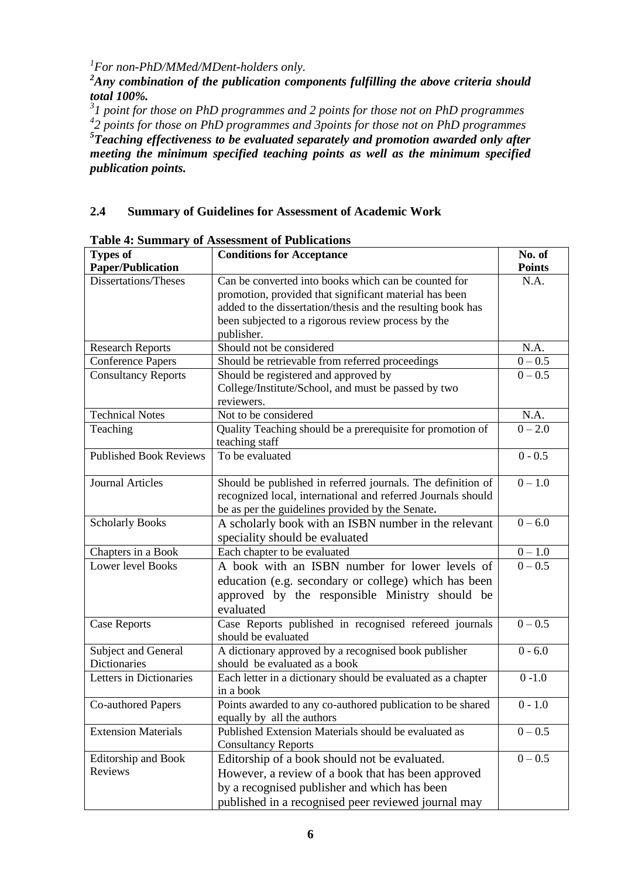*1 For non-PhD/MMed/MDent-holders only.*

*<sup>2</sup>Any combination of the publication components fulfilling the above criteria should total 100%.*

*3 1 point for those on PhD programmes and 2 points for those not on PhD programmes 4 2 points for those on PhD programmes and 3points for those not on PhD programmes 5 Teaching effectiveness to be evaluated separately and promotion awarded only after meeting the minimum specified teaching points as well as the minimum specified publication points.* 

## **2.4 Summary of Guidelines for Assessment of Academic Work**

| <b>Types of</b>               | <b>Conditions for Acceptance</b>                             | No. of               |
|-------------------------------|--------------------------------------------------------------|----------------------|
| <b>Paper/Publication</b>      |                                                              | <b>Points</b>        |
| Dissertations/Theses          | Can be converted into books which can be counted for         | N.A.                 |
|                               | promotion, provided that significant material has been       |                      |
|                               | added to the dissertation/thesis and the resulting book has  |                      |
|                               | been subjected to a rigorous review process by the           |                      |
|                               | publisher.                                                   |                      |
| <b>Research Reports</b>       | Should not be considered                                     | N.A.                 |
| <b>Conference Papers</b>      | Should be retrievable from referred proceedings              | $0 - 0.5$            |
| <b>Consultancy Reports</b>    | Should be registered and approved by                         | $0 - 0.5$            |
|                               | College/Institute/School, and must be passed by two          |                      |
|                               | reviewers.                                                   |                      |
| <b>Technical Notes</b>        | Not to be considered                                         | N.A.                 |
| Teaching                      | Quality Teaching should be a prerequisite for promotion of   | $0 - 2.0$            |
|                               | teaching staff                                               |                      |
| <b>Published Book Reviews</b> | To be evaluated                                              | $0 - 0.5$            |
|                               |                                                              |                      |
| <b>Journal Articles</b>       | Should be published in referred journals. The definition of  | $0 - 1.0$            |
|                               | recognized local, international and referred Journals should |                      |
|                               | be as per the guidelines provided by the Senate.             |                      |
| <b>Scholarly Books</b>        | A scholarly book with an ISBN number in the relevant         | $0 - 6.0$            |
|                               | speciality should be evaluated                               |                      |
| Chapters in a Book            | Each chapter to be evaluated                                 | $0 - 1.0$            |
| <b>Lower level Books</b>      | A book with an ISBN number for lower levels of               | $\overline{0} - 0.5$ |
|                               | education (e.g. secondary or college) which has been         |                      |
|                               | approved by the responsible Ministry should be               |                      |
|                               | evaluated                                                    |                      |
| <b>Case Reports</b>           | Case Reports published in recognised refereed journals       | $0 - 0.5$            |
|                               | should be evaluated                                          |                      |
| Subject and General           | A dictionary approved by a recognised book publisher         | $0 - 6.0$            |
| Dictionaries                  | should be evaluated as a book                                |                      |
| Letters in Dictionaries       | Each letter in a dictionary should be evaluated as a chapter | $0 - 1.0$            |
|                               | in a book                                                    |                      |
| Co-authored Papers            | Points awarded to any co-authored publication to be shared   | $0 - 1.0$            |
|                               | equally by all the authors                                   |                      |
| <b>Extension Materials</b>    | Published Extension Materials should be evaluated as         | $0 - 0.5$            |
|                               | <b>Consultancy Reports</b>                                   |                      |
| Editorship and Book           | Editorship of a book should not be evaluated.                | $0 - 0.5$            |
| Reviews                       | However, a review of a book that has been approved           |                      |
|                               | by a recognised publisher and which has been                 |                      |
|                               | published in a recognised peer reviewed journal may          |                      |

**Table 4: Summary of Assessment of Publications**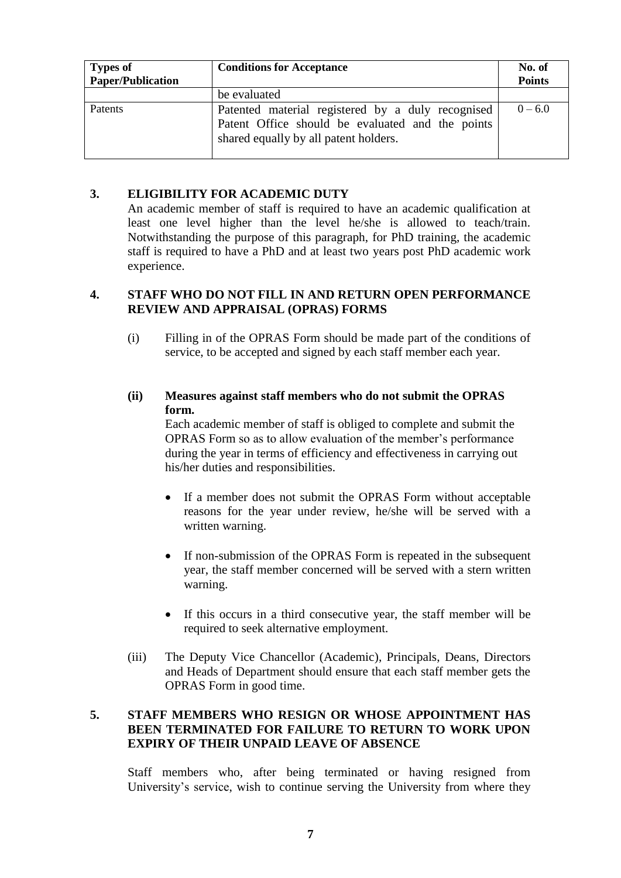| <b>Types of</b><br><b>Paper/Publication</b> | <b>Conditions for Acceptance</b>                                                                                                               | No. of<br><b>Points</b> |
|---------------------------------------------|------------------------------------------------------------------------------------------------------------------------------------------------|-------------------------|
|                                             | be evaluated                                                                                                                                   |                         |
| Patents                                     | Patented material registered by a duly recognised<br>Patent Office should be evaluated and the points<br>shared equally by all patent holders. | $0 - 6.0$               |

### <span id="page-8-0"></span>**3. ELIGIBILITY FOR ACADEMIC DUTY**

An academic member of staff is required to have an academic qualification at least one level higher than the level he/she is allowed to teach/train. Notwithstanding the purpose of this paragraph, for PhD training, the academic staff is required to have a PhD and at least two years post PhD academic work experience.

### **4. STAFF WHO DO NOT FILL IN AND RETURN OPEN PERFORMANCE REVIEW AND APPRAISAL (OPRAS) FORMS**

(i) Filling in of the OPRAS Form should be made part of the conditions of service, to be accepted and signed by each staff member each year.

### **(ii) Measures against staff members who do not submit the OPRAS form.**

Each academic member of staff is obliged to complete and submit the OPRAS Form so as to allow evaluation of the member's performance during the year in terms of efficiency and effectiveness in carrying out his/her duties and responsibilities.

- If a member does not submit the OPRAS Form without acceptable reasons for the year under review, he/she will be served with a written warning.
- If non-submission of the OPRAS Form is repeated in the subsequent year, the staff member concerned will be served with a stern written warning.
- If this occurs in a third consecutive year, the staff member will be required to seek alternative employment.
- (iii) The Deputy Vice Chancellor (Academic), Principals, Deans, Directors and Heads of Department should ensure that each staff member gets the OPRAS Form in good time.

### <span id="page-8-1"></span>**5. STAFF MEMBERS WHO RESIGN OR WHOSE APPOINTMENT HAS BEEN TERMINATED FOR FAILURE TO RETURN TO WORK UPON EXPIRY OF THEIR UNPAID LEAVE OF ABSENCE**

Staff members who, after being terminated or having resigned from University's service, wish to continue serving the University from where they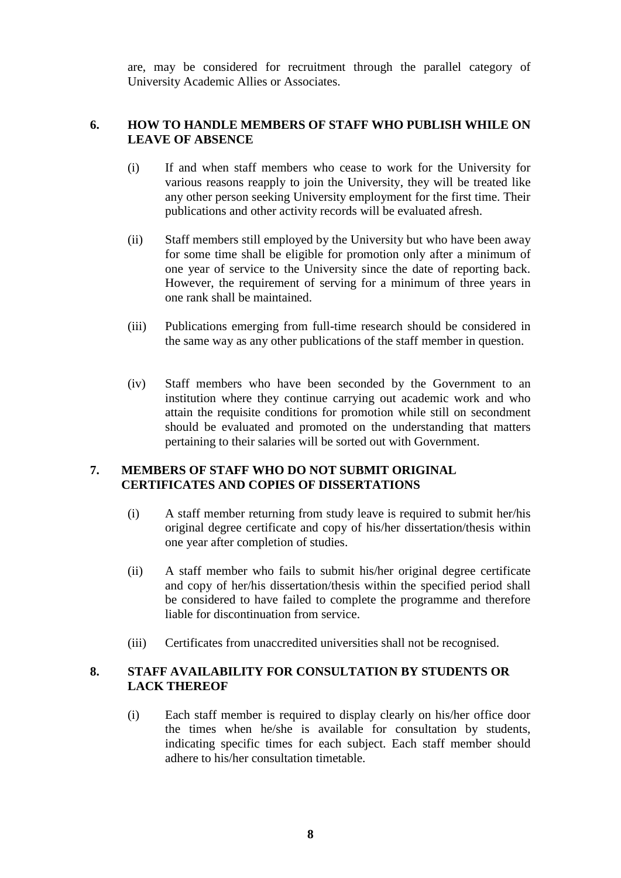are, may be considered for recruitment through the parallel category of University Academic Allies or Associates.

### <span id="page-9-0"></span>**6. HOW TO HANDLE MEMBERS OF STAFF WHO PUBLISH WHILE ON LEAVE OF ABSENCE**

- (i) If and when staff members who cease to work for the University for various reasons reapply to join the University, they will be treated like any other person seeking University employment for the first time. Their publications and other activity records will be evaluated afresh.
- (ii) Staff members still employed by the University but who have been away for some time shall be eligible for promotion only after a minimum of one year of service to the University since the date of reporting back. However, the requirement of serving for a minimum of three years in one rank shall be maintained.
- (iii) Publications emerging from full-time research should be considered in the same way as any other publications of the staff member in question.
- (iv) Staff members who have been seconded by the Government to an institution where they continue carrying out academic work and who attain the requisite conditions for promotion while still on secondment should be evaluated and promoted on the understanding that matters pertaining to their salaries will be sorted out with Government.

### <span id="page-9-1"></span>**7. MEMBERS OF STAFF WHO DO NOT SUBMIT ORIGINAL CERTIFICATES AND COPIES OF DISSERTATIONS**

- (i) A staff member returning from study leave is required to submit her/his original degree certificate and copy of his/her dissertation/thesis within one year after completion of studies.
- (ii) A staff member who fails to submit his/her original degree certificate and copy of her/his dissertation/thesis within the specified period shall be considered to have failed to complete the programme and therefore liable for discontinuation from service.
- (iii) Certificates from unaccredited universities shall not be recognised.

### <span id="page-9-2"></span>**8. STAFF AVAILABILITY FOR CONSULTATION BY STUDENTS OR LACK THEREOF**

(i) Each staff member is required to display clearly on his/her office door the times when he/she is available for consultation by students, indicating specific times for each subject. Each staff member should adhere to his/her consultation timetable.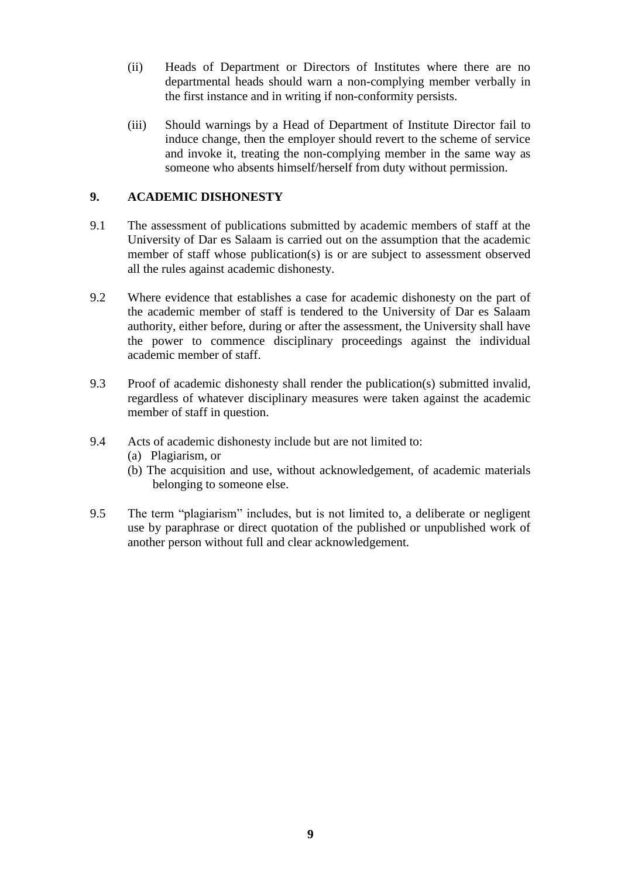- (ii) Heads of Department or Directors of Institutes where there are no departmental heads should warn a non-complying member verbally in the first instance and in writing if non-conformity persists.
- (iii) Should warnings by a Head of Department of Institute Director fail to induce change, then the employer should revert to the scheme of service and invoke it, treating the non-complying member in the same way as someone who absents himself/herself from duty without permission.

### <span id="page-10-0"></span>**9. ACADEMIC DISHONESTY**

- 9.1 The assessment of publications submitted by academic members of staff at the University of Dar es Salaam is carried out on the assumption that the academic member of staff whose publication(s) is or are subject to assessment observed all the rules against academic dishonesty.
- 9.2 Where evidence that establishes a case for academic dishonesty on the part of the academic member of staff is tendered to the University of Dar es Salaam authority, either before, during or after the assessment, the University shall have the power to commence disciplinary proceedings against the individual academic member of staff.
- 9.3 Proof of academic dishonesty shall render the publication(s) submitted invalid, regardless of whatever disciplinary measures were taken against the academic member of staff in question.
- 9.4 Acts of academic dishonesty include but are not limited to:
	- (a) Plagiarism, or
	- (b) The acquisition and use, without acknowledgement, of academic materials belonging to someone else.
- 9.5 The term "plagiarism" includes, but is not limited to, a deliberate or negligent use by paraphrase or direct quotation of the published or unpublished work of another person without full and clear acknowledgement.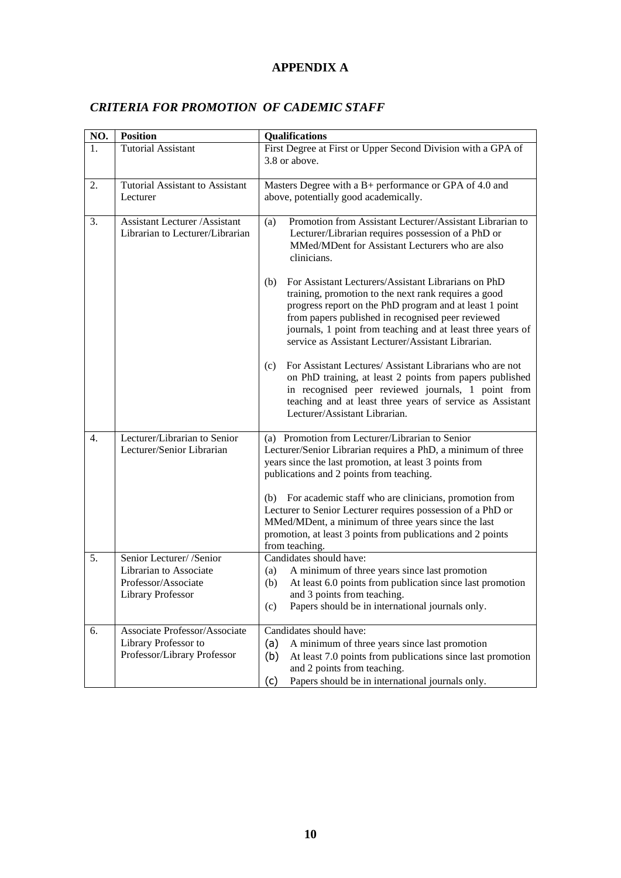### **APPENDIX A**

### <span id="page-11-1"></span><span id="page-11-0"></span>*CRITERIA FOR PROMOTION OF CADEMIC STAFF*

| NO.              | <b>Position</b>                                                                                | Qualifications                                                                                                                                                                                                                                                                                                                                                                                                                                                                            |  |
|------------------|------------------------------------------------------------------------------------------------|-------------------------------------------------------------------------------------------------------------------------------------------------------------------------------------------------------------------------------------------------------------------------------------------------------------------------------------------------------------------------------------------------------------------------------------------------------------------------------------------|--|
| 1.               | <b>Tutorial Assistant</b>                                                                      | First Degree at First or Upper Second Division with a GPA of<br>3.8 or above.                                                                                                                                                                                                                                                                                                                                                                                                             |  |
| 2.               | <b>Tutorial Assistant to Assistant</b><br>Lecturer                                             | Masters Degree with a B+ performance or GPA of 4.0 and<br>above, potentially good academically.                                                                                                                                                                                                                                                                                                                                                                                           |  |
| 3.               | <b>Assistant Lecturer /Assistant</b><br>Librarian to Lecturer/Librarian                        | Promotion from Assistant Lecturer/Assistant Librarian to<br>(a)<br>Lecturer/Librarian requires possession of a PhD or<br>MMed/MDent for Assistant Lecturers who are also<br>clinicians.                                                                                                                                                                                                                                                                                                   |  |
|                  |                                                                                                | For Assistant Lecturers/Assistant Librarians on PhD<br>(b)<br>training, promotion to the next rank requires a good<br>progress report on the PhD program and at least 1 point<br>from papers published in recognised peer reviewed<br>journals, 1 point from teaching and at least three years of<br>service as Assistant Lecturer/Assistant Librarian.                                                                                                                                   |  |
|                  |                                                                                                | For Assistant Lectures/ Assistant Librarians who are not<br>(c)<br>on PhD training, at least 2 points from papers published<br>in recognised peer reviewed journals, 1 point from<br>teaching and at least three years of service as Assistant<br>Lecturer/Assistant Librarian.                                                                                                                                                                                                           |  |
| $\overline{4}$ . | Lecturer/Librarian to Senior<br>Lecturer/Senior Librarian                                      | (a) Promotion from Lecturer/Librarian to Senior<br>Lecturer/Senior Librarian requires a PhD, a minimum of three<br>years since the last promotion, at least 3 points from<br>publications and 2 points from teaching.<br>(b) For academic staff who are clinicians, promotion from<br>Lecturer to Senior Lecturer requires possession of a PhD or<br>MMed/MDent, a minimum of three years since the last<br>promotion, at least 3 points from publications and 2 points<br>from teaching. |  |
| 5.               | Senior Lecturer/ /Senior<br>Librarian to Associate<br>Professor/Associate<br>Library Professor | Candidates should have:<br>A minimum of three years since last promotion<br>(a)<br>At least 6.0 points from publication since last promotion<br>(b)<br>and 3 points from teaching.<br>Papers should be in international journals only.<br>(c)                                                                                                                                                                                                                                             |  |
| 6.               | Associate Professor/Associate<br>Library Professor to<br>Professor/Library Professor           | Candidates should have:<br>A minimum of three years since last promotion<br>(a)<br>(b)<br>At least 7.0 points from publications since last promotion<br>and 2 points from teaching.<br>Papers should be in international journals only.<br>(c)                                                                                                                                                                                                                                            |  |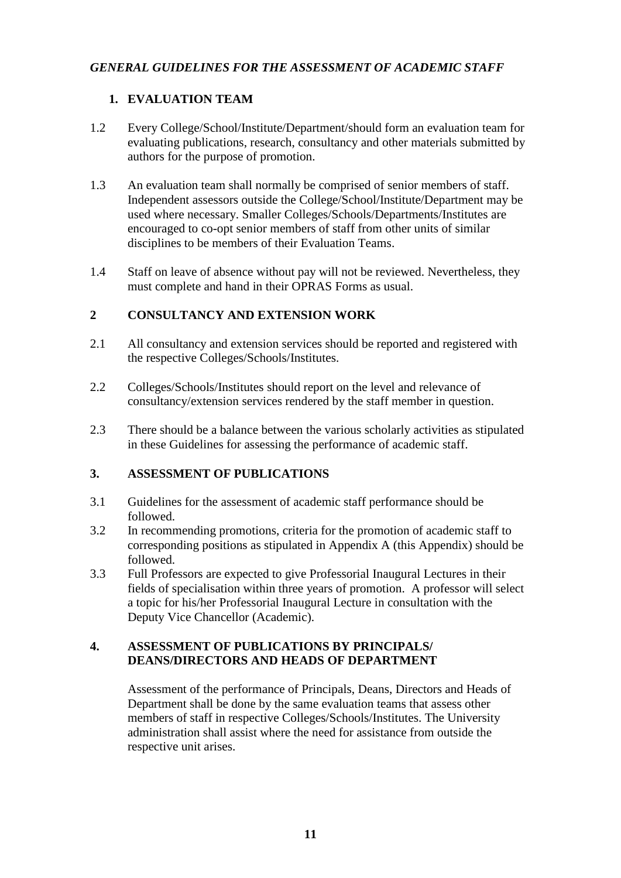### <span id="page-12-0"></span>*GENERAL GUIDELINES FOR THE ASSESSMENT OF ACADEMIC STAFF*

### **1. EVALUATION TEAM**

- 1.2 Every College/School/Institute/Department/should form an evaluation team for evaluating publications, research, consultancy and other materials submitted by authors for the purpose of promotion.
- 1.3 An evaluation team shall normally be comprised of senior members of staff. Independent assessors outside the College/School/Institute/Department may be used where necessary. Smaller Colleges/Schools/Departments/Institutes are encouraged to co-opt senior members of staff from other units of similar disciplines to be members of their Evaluation Teams.
- 1.4 Staff on leave of absence without pay will not be reviewed. Nevertheless, they must complete and hand in their OPRAS Forms as usual.

### **2 CONSULTANCY AND EXTENSION WORK**

- 2.1 All consultancy and extension services should be reported and registered with the respective Colleges/Schools/Institutes.
- 2.2 Colleges/Schools/Institutes should report on the level and relevance of consultancy/extension services rendered by the staff member in question.
- 2.3 There should be a balance between the various scholarly activities as stipulated in these Guidelines for assessing the performance of academic staff.

### **3. ASSESSMENT OF PUBLICATIONS**

- 3.1 Guidelines for the assessment of academic staff performance should be followed.
- 3.2 In recommending promotions, criteria for the promotion of academic staff to corresponding positions as stipulated in Appendix A (this Appendix) should be followed.
- 3.3 Full Professors are expected to give Professorial Inaugural Lectures in their fields of specialisation within three years of promotion. A professor will select a topic for his/her Professorial Inaugural Lecture in consultation with the Deputy Vice Chancellor (Academic).

### **4. ASSESSMENT OF PUBLICATIONS BY PRINCIPALS/ DEANS/DIRECTORS AND HEADS OF DEPARTMENT**

Assessment of the performance of Principals, Deans, Directors and Heads of Department shall be done by the same evaluation teams that assess other members of staff in respective Colleges/Schools/Institutes. The University administration shall assist where the need for assistance from outside the respective unit arises.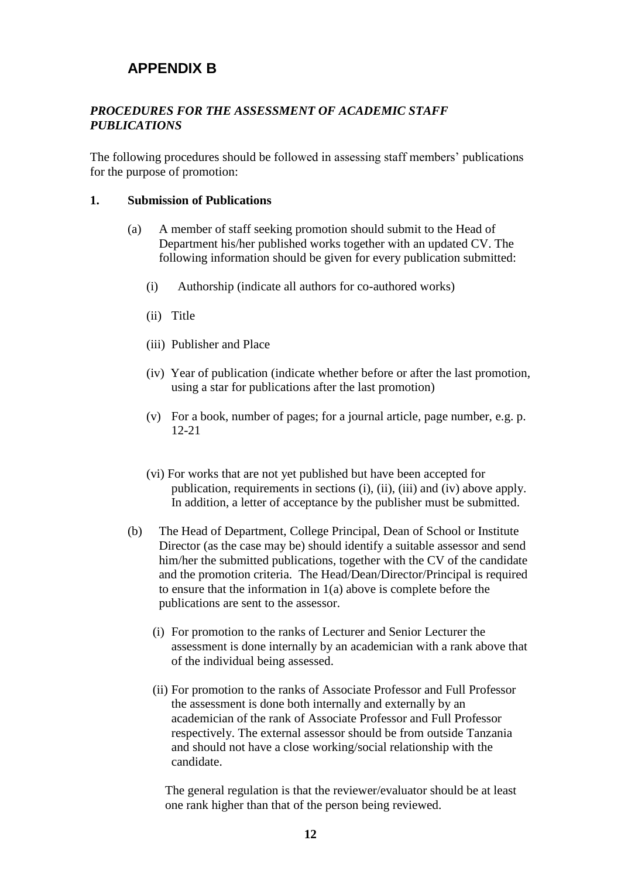# <span id="page-13-0"></span>**APPENDIX B**

### <span id="page-13-1"></span>*PROCEDURES FOR THE ASSESSMENT OF ACADEMIC STAFF PUBLICATIONS*

The following procedures should be followed in assessing staff members' publications for the purpose of promotion:

### **1. Submission of Publications**

- (a) A member of staff seeking promotion should submit to the Head of Department his/her published works together with an updated CV. The following information should be given for every publication submitted:
	- (i) Authorship (indicate all authors for co-authored works)
	- (ii) Title
	- (iii) Publisher and Place
	- (iv) Year of publication (indicate whether before or after the last promotion, using a star for publications after the last promotion)
	- (v) For a book, number of pages; for a journal article, page number, e.g. p. 12-21
	- (vi) For works that are not yet published but have been accepted for publication, requirements in sections (i), (ii), (iii) and (iv) above apply. In addition, a letter of acceptance by the publisher must be submitted.
- (b) The Head of Department, College Principal, Dean of School or Institute Director (as the case may be) should identify a suitable assessor and send him/her the submitted publications, together with the CV of the candidate and the promotion criteria. The Head/Dean/Director/Principal is required to ensure that the information in 1(a) above is complete before the publications are sent to the assessor.
	- (i) For promotion to the ranks of Lecturer and Senior Lecturer the assessment is done internally by an academician with a rank above that of the individual being assessed.
	- (ii) For promotion to the ranks of Associate Professor and Full Professor the assessment is done both internally and externally by an academician of the rank of Associate Professor and Full Professor respectively. The external assessor should be from outside Tanzania and should not have a close working/social relationship with the candidate.

The general regulation is that the reviewer/evaluator should be at least one rank higher than that of the person being reviewed.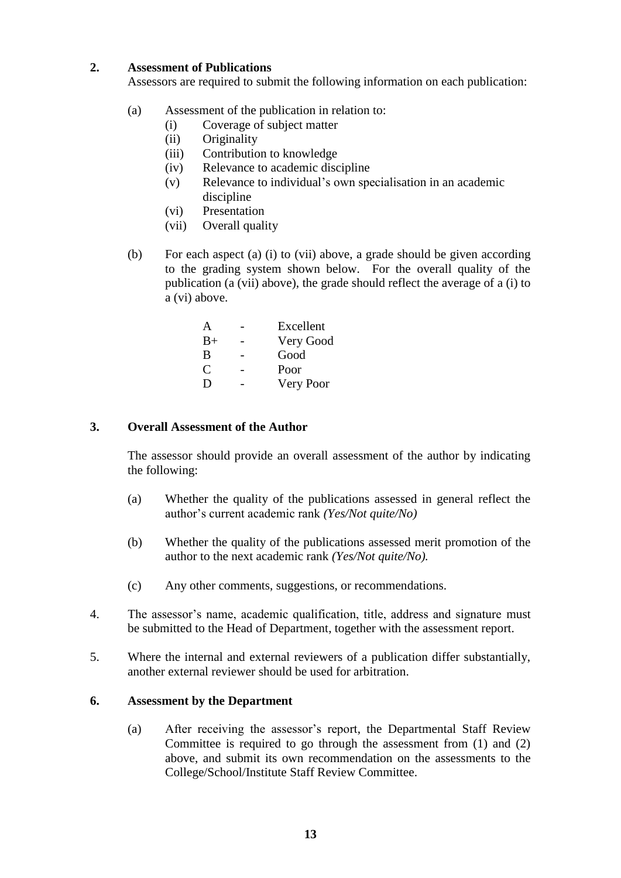### **2. Assessment of Publications**

Assessors are required to submit the following information on each publication:

- (a) Assessment of the publication in relation to:
	- (i) Coverage of subject matter
	- (ii) Originality
	- (iii) Contribution to knowledge
	- (iv) Relevance to academic discipline
	- (v) Relevance to individual's own specialisation in an academic discipline
	- (vi) Presentation
	- (vii) Overall quality
- (b) For each aspect (a) (i) to (vii) above, a grade should be given according to the grading system shown below. For the overall quality of the publication (a (vii) above), the grade should reflect the average of a (i) to a (vi) above.

| A           | Excellent |
|-------------|-----------|
| $_{\rm B+}$ | Very Good |
| В           | Good      |
| C           | Poor      |
| D           | Very Poor |

### **3. Overall Assessment of the Author**

The assessor should provide an overall assessment of the author by indicating the following:

- (a) Whether the quality of the publications assessed in general reflect the author's current academic rank *(Yes/Not quite/No)*
- (b) Whether the quality of the publications assessed merit promotion of the author to the next academic rank *(Yes/Not quite/No).*
- (c) Any other comments, suggestions, or recommendations.
- 4. The assessor's name, academic qualification, title, address and signature must be submitted to the Head of Department, together with the assessment report.
- 5. Where the internal and external reviewers of a publication differ substantially, another external reviewer should be used for arbitration.

### **6. Assessment by the Department**

(a) After receiving the assessor's report, the Departmental Staff Review Committee is required to go through the assessment from (1) and (2) above, and submit its own recommendation on the assessments to the College/School/Institute Staff Review Committee.